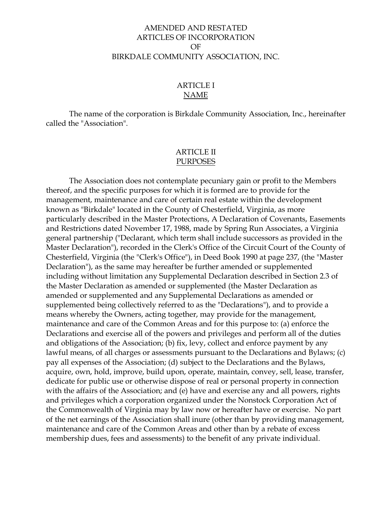# AMENDED AND RESTATED ARTICLES OF INCORPORATION OF BIRKDALE COMMUNITY ASSOCIATION, INC.

# ARTICLE I NAME

The name of the corporation is Birkdale Community Association, Inc., hereinafter called the "Association".

#### ARTICLE II PURPOSES

The Association does not contemplate pecuniary gain or profit to the Members thereof, and the specific purposes for which it is formed are to provide for the management, maintenance and care of certain real estate within the development known as "Birkdale" located in the County of Chesterfield, Virginia, as more particularly described in the Master Protections, A Declaration of Covenants, Easements and Restrictions dated November 17, 1988, made by Spring Run Associates, a Virginia general partnership ("Declarant, which term shall include successors as provided in the Master Declaration"), recorded in the Clerk's Office of the Circuit Court of the County of Chesterfield, Virginia (the "Clerk's Office"), in Deed Book 1990 at page 237, (the "Master Declaration"), as the same may hereafter be further amended or supplemented including without limitation any Supplemental Declaration described in Section 2.3 of the Master Declaration as amended or supplemented (the Master Declaration as amended or supplemented and any Supplemental Declarations as amended or supplemented being collectively referred to as the "Declarations"), and to provide a means whereby the Owners, acting together, may provide for the management, maintenance and care of the Common Areas and for this purpose to: (a) enforce the Declarations and exercise all of the powers and privileges and perform all of the duties and obligations of the Association; (b) fix, levy, collect and enforce payment by any lawful means, of all charges or assessments pursuant to the Declarations and Bylaws; (c) pay all expenses of the Association; (d) subject to the Declarations and the Bylaws, acquire, own, hold, improve, build upon, operate, maintain, convey, sell, lease, transfer, dedicate for public use or otherwise dispose of real or personal property in connection with the affairs of the Association; and (e) have and exercise any and all powers, rights and privileges which a corporation organized under the Nonstock Corporation Act of the Commonwealth of Virginia may by law now or hereafter have or exercise. No part of the net earnings of the Association shall inure (other than by providing management, maintenance and care of the Common Areas and other than by a rebate of excess membership dues, fees and assessments) to the benefit of any private individual.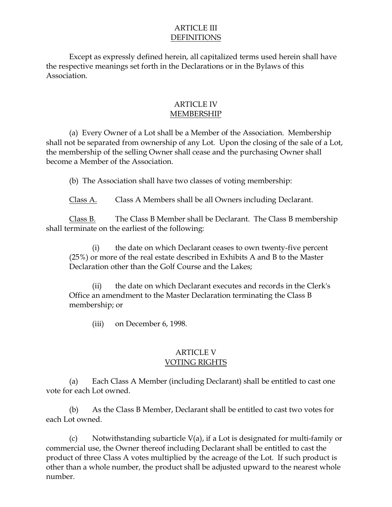## ARTICLE III **DEFINITIONS**

Except as expressly defined herein, all capitalized terms used herein shall have the respective meanings set forth in the Declarations or in the Bylaws of this Association.

## ARTICLE IV MEMBERSHIP

(a) Every Owner of a Lot shall be a Member of the Association. Membership shall not be separated from ownership of any Lot. Upon the closing of the sale of a Lot, the membership of the selling Owner shall cease and the purchasing Owner shall become a Member of the Association.

(b) The Association shall have two classes of voting membership:

Class A. Class A Members shall be all Owners including Declarant.

Class B. The Class B Member shall be Declarant. The Class B membership shall terminate on the earliest of the following:

(i) the date on which Declarant ceases to own twenty-five percent (25%) or more of the real estate described in Exhibits A and B to the Master Declaration other than the Golf Course and the Lakes;

(ii) the date on which Declarant executes and records in the Clerk's Office an amendment to the Master Declaration terminating the Class B membership; or

(iii) on December 6, 1998.

# ARTICLE V VOTING RIGHTS

(a) Each Class A Member (including Declarant) shall be entitled to cast one vote for each Lot owned.

(b) As the Class B Member, Declarant shall be entitled to cast two votes for each Lot owned.

(c) Notwithstanding subarticle  $V(a)$ , if a Lot is designated for multi-family or commercial use, the Owner thereof including Declarant shall be entitled to cast the product of three Class A votes multiplied by the acreage of the Lot. If such product is other than a whole number, the product shall be adjusted upward to the nearest whole number.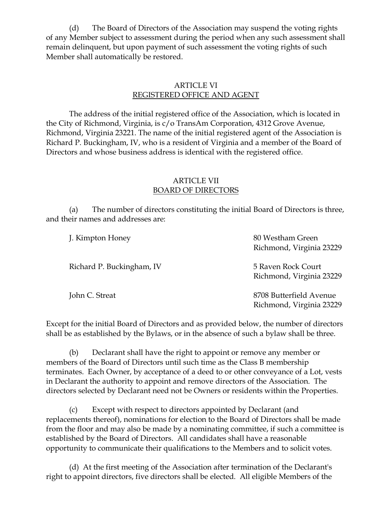(d) The Board of Directors of the Association may suspend the voting rights of any Member subject to assessment during the period when any such assessment shall remain delinquent, but upon payment of such assessment the voting rights of such Member shall automatically be restored.

## ARTICLE VI REGISTERED OFFICE AND AGENT

The address of the initial registered office of the Association, which is located in the City of Richmond, Virginia, is c/o TransAm Corporation, 4312 Grove Avenue, Richmond, Virginia 23221. The name of the initial registered agent of the Association is Richard P. Buckingham, IV, who is a resident of Virginia and a member of the Board of Directors and whose business address is identical with the registered office.

### ARTICLE VII BOARD OF DIRECTORS

(a) The number of directors constituting the initial Board of Directors is three, and their names and addresses are:

| J. Kimpton Honey          | 80 Westham Green<br>Richmond, Virginia 23229        |
|---------------------------|-----------------------------------------------------|
| Richard P. Buckingham, IV | 5 Raven Rock Court<br>Richmond, Virginia 23229      |
| John C. Streat            | 8708 Butterfield Avenue<br>Richmond, Virginia 23229 |

Except for the initial Board of Directors and as provided below, the number of directors shall be as established by the Bylaws, or in the absence of such a bylaw shall be three.

(b) Declarant shall have the right to appoint or remove any member or members of the Board of Directors until such time as the Class B membership terminates. Each Owner, by acceptance of a deed to or other conveyance of a Lot, vests in Declarant the authority to appoint and remove directors of the Association. The directors selected by Declarant need not be Owners or residents within the Properties.

(c) Except with respect to directors appointed by Declarant (and replacements thereof), nominations for election to the Board of Directors shall be made from the floor and may also be made by a nominating committee, if such a committee is established by the Board of Directors. All candidates shall have a reasonable opportunity to communicate their qualifications to the Members and to solicit votes.

(d) At the first meeting of the Association after termination of the Declarant's right to appoint directors, five directors shall be elected. All eligible Members of the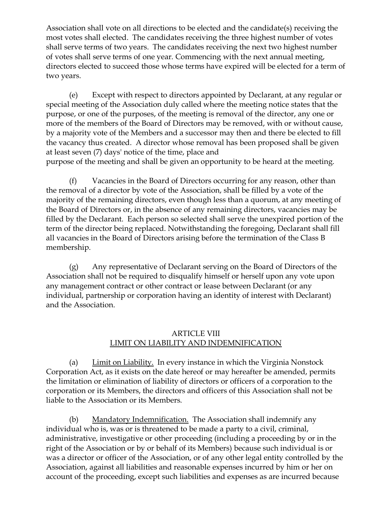Association shall vote on all directions to be elected and the candidate(s) receiving the most votes shall elected. The candidates receiving the three highest number of votes shall serve terms of two years. The candidates receiving the next two highest number of votes shall serve terms of one year. Commencing with the next annual meeting, directors elected to succeed those whose terms have expired will be elected for a term of two years.

(e) Except with respect to directors appointed by Declarant, at any regular or special meeting of the Association duly called where the meeting notice states that the purpose, or one of the purposes, of the meeting is removal of the director, any one or more of the members of the Board of Directors may be removed, with or without cause, by a majority vote of the Members and a successor may then and there be elected to fill the vacancy thus created. A director whose removal has been proposed shall be given at least seven (7) days' notice of the time, place and

purpose of the meeting and shall be given an opportunity to be heard at the meeting.

(f) Vacancies in the Board of Directors occurring for any reason, other than the removal of a director by vote of the Association, shall be filled by a vote of the majority of the remaining directors, even though less than a quorum, at any meeting of the Board of Directors or, in the absence of any remaining directors, vacancies may be filled by the Declarant. Each person so selected shall serve the unexpired portion of the term of the director being replaced. Notwithstanding the foregoing, Declarant shall fill all vacancies in the Board of Directors arising before the termination of the Class B membership.

(g) Any representative of Declarant serving on the Board of Directors of the Association shall not be required to disqualify himself or herself upon any vote upon any management contract or other contract or lease between Declarant (or any individual, partnership or corporation having an identity of interest with Declarant) and the Association.

# ARTICLE VIII LIMIT ON LIABILITY AND INDEMNIFICATION

(a) Limit on Liability. In every instance in which the Virginia Nonstock Corporation Act, as it exists on the date hereof or may hereafter be amended, permits the limitation or elimination of liability of directors or officers of a corporation to the corporation or its Members, the directors and officers of this Association shall not be liable to the Association or its Members.

(b) Mandatory Indemnification. The Association shall indemnify any individual who is, was or is threatened to be made a party to a civil, criminal, administrative, investigative or other proceeding (including a proceeding by or in the right of the Association or by or behalf of its Members) because such individual is or was a director or officer of the Association, or of any other legal entity controlled by the Association, against all liabilities and reasonable expenses incurred by him or her on account of the proceeding, except such liabilities and expenses as are incurred because